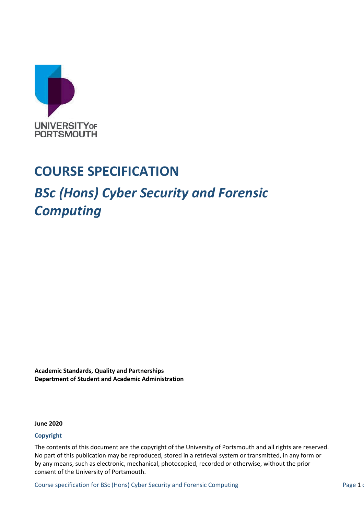

## **COURSE SPECIFICATION**

## *BSc (Hons) Cyber Security and Forensic Computing*

**Academic Standards, Quality and Partnerships Department of Student and Academic Administration**

**June 2020**

#### **Copyright**

The contents of this document are the copyright of the University of Portsmouth and all rights are reserved. No part of this publication may be reproduced, stored in a retrieval system or transmitted, in any form or by any means, such as electronic, mechanical, photocopied, recorded or otherwise, without the prior consent of the University of Portsmouth.

Course specification for BSc (Hons) Cyber Security and Forensic Computing Page 1 of Page 1 of Page 1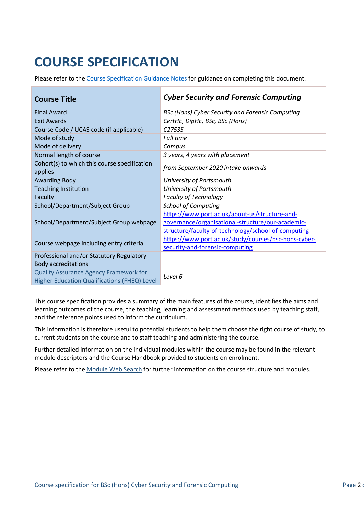# **COURSE SPECIFICATION**

Please refer to the [Course Specification Guidance Notes](http://www.port.ac.uk/departments/services/academicregistry/qmd/curriculum-framework-2019-20/filetodownload,201767,en.docx) for guidance on completing this document.

| <b>Course Title</b>                                                                                  | <b>Cyber Security and Forensic Computing</b>                                                                                                               |
|------------------------------------------------------------------------------------------------------|------------------------------------------------------------------------------------------------------------------------------------------------------------|
| <b>Final Award</b>                                                                                   | BSc (Hons) Cyber Security and Forensic Computing                                                                                                           |
| <b>Exit Awards</b>                                                                                   | CertHE, DipHE, BSc, BSc (Hons)                                                                                                                             |
| Course Code / UCAS code (if applicable)                                                              | C <sub>2753S</sub>                                                                                                                                         |
| Mode of study                                                                                        | <b>Full time</b>                                                                                                                                           |
| Mode of delivery                                                                                     | Campus                                                                                                                                                     |
| Normal length of course                                                                              | 3 years, 4 years with placement                                                                                                                            |
| Cohort(s) to which this course specification<br>applies                                              | from September 2020 intake onwards                                                                                                                         |
| <b>Awarding Body</b>                                                                                 | University of Portsmouth                                                                                                                                   |
| <b>Teaching Institution</b>                                                                          | University of Portsmouth                                                                                                                                   |
| Faculty                                                                                              | <b>Faculty of Technology</b>                                                                                                                               |
| School/Department/Subject Group                                                                      | <b>School of Computing</b>                                                                                                                                 |
| School/Department/Subject Group webpage                                                              | https://www.port.ac.uk/about-us/structure-and-<br>governance/organisational-structure/our-academic-<br>structure/faculty-of-technology/school-of-computing |
| Course webpage including entry criteria                                                              | https://www.port.ac.uk/study/courses/bsc-hons-cyber-<br>security-and-forensic-computing                                                                    |
| Professional and/or Statutory Regulatory<br><b>Body accreditations</b>                               |                                                                                                                                                            |
| <b>Quality Assurance Agency Framework for</b><br><b>Higher Education Qualifications (FHEQ) Level</b> | Level 6                                                                                                                                                    |

This course specification provides a summary of the main features of the course, identifies the aims and learning outcomes of the course, the teaching, learning and assessment methods used by teaching staff, and the reference points used to inform the curriculum.

This information is therefore useful to potential students to help them choose the right course of study, to current students on the course and to staff teaching and administering the course.

Further detailed information on the individual modules within the course may be found in the relevant module descriptors and the Course Handbook provided to students on enrolment.

Please refer to the [Module Web Search](https://register.port.ac.uk/ords/f?p=111:1:0:::::) for further information on the course structure and modules.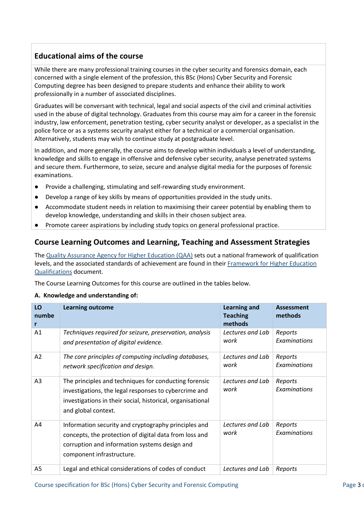## **Educational aims of the course**

While there are many professional training courses in the cyber security and forensics domain, each concerned with a single element of the profession, this BSc (Hons) Cyber Security and Forensic Computing degree has been designed to prepare students and enhance their ability to work professionally in a number of associated disciplines.

Graduates will be conversant with technical, legal and social aspects of the civil and criminal activities used in the abuse of digital technology. Graduates from this course may aim for a career in the forensic industry, law enforcement, penetration testing, cyber security analyst or developer, as a specialist in the police force or as a systems security analyst either for a technical or a commercial organisation. Alternatively, students may wish to continue study at postgraduate level.

In addition, and more generally, the course aims to develop within individuals a level of understanding, knowledge and skills to engage in offensive and defensive cyber security, analyse penetrated systems and secure them. Furthermore, to seize, secure and analyse digital media for the purposes of forensic examinations.

- Provide a challenging, stimulating and self-rewarding study environment.
- Develop a range of key skills by means of opportunities provided in the study units.
- Accommodate student needs in relation to maximising their career potential by enabling them to develop knowledge, understanding and skills in their chosen subject area.
- Promote career aspirations by including study topics on general professional practice.

## **Course Learning Outcomes and Learning, Teaching and Assessment Strategies**

The [Quality Assurance Agency for Higher Education \(QAA\)](http://www.qaa.ac.uk/en) sets out a national framework of qualification levels, and the associated standards of achievement are found in their [Framework for Higher](http://www.qaa.ac.uk/en/Publications/Documents/qualifications-frameworks.pdf) Education [Qualifications](http://www.qaa.ac.uk/en/Publications/Documents/qualifications-frameworks.pdf) document.

The Course Learning Outcomes for this course are outlined in the tables below.

#### **A. Knowledge and understanding of:**

| LO<br>numbe    | <b>Learning outcome</b>                                                                                                                                                                             | <b>Learning and</b><br><b>Teaching</b><br>methods | Assessment<br>methods   |
|----------------|-----------------------------------------------------------------------------------------------------------------------------------------------------------------------------------------------------|---------------------------------------------------|-------------------------|
| A1             | Techniques required for seizure, preservation, analysis<br>and presentation of digital evidence.                                                                                                    | Lectures and Lab<br>work                          | Reports<br>Examinations |
| A2             | The core principles of computing including databases,<br>network specification and design.                                                                                                          | Lectures and Lab<br>work                          | Reports<br>Examinations |
| A <sub>3</sub> | The principles and techniques for conducting forensic<br>investigations, the legal responses to cybercrime and<br>investigations in their social, historical, organisational<br>and global context. | Lectures and Lab<br>work                          | Reports<br>Examinations |
| A4             | Information security and cryptography principles and<br>concepts, the protection of digital data from loss and<br>corruption and information systems design and<br>component infrastructure.        | Lectures and Lab<br>work                          | Reports<br>Examinations |
| A <sub>5</sub> | Legal and ethical considerations of codes of conduct                                                                                                                                                | Lectures and Lab                                  | Reports                 |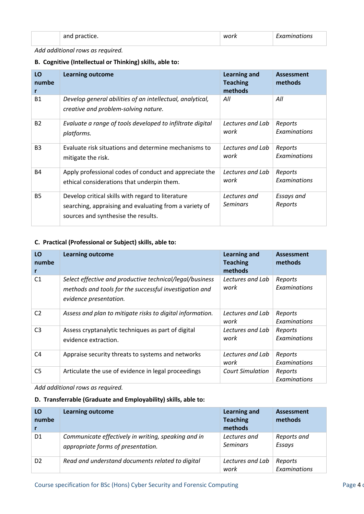| <br>__ | MI I<br>_______ | ______ |
|--------|-----------------|--------|
|        |                 |        |

*Add additional rows as required.*

#### **B. Cognitive (Intellectual or Thinking) skills, able to:**

| LO<br>numbe<br>r | <b>Learning outcome</b>                                                                                                                            | Learning and<br><b>Teaching</b><br>methods | <b>Assessment</b><br>methods |
|------------------|----------------------------------------------------------------------------------------------------------------------------------------------------|--------------------------------------------|------------------------------|
| <b>B1</b>        | Develop general abilities of an intellectual, analytical,<br>creative and problem-solving nature.                                                  | All                                        | All                          |
| <b>B2</b>        | Evaluate a range of tools developed to infiltrate digital                                                                                          | Lectures and Lab                           | Reports                      |
|                  | platforms.                                                                                                                                         | work                                       | Examinations                 |
| B <sub>3</sub>   | Evaluate risk situations and determine mechanisms to                                                                                               | Lectures and Lab                           | Reports                      |
|                  | mitigate the risk.                                                                                                                                 | work                                       | Examinations                 |
| <b>B4</b>        | Apply professional codes of conduct and appreciate the                                                                                             | Lectures and Lab                           | Reports                      |
|                  | ethical considerations that underpin them.                                                                                                         | work                                       | Examinations                 |
| <b>B5</b>        | Develop critical skills with regard to literature<br>searching, appraising and evaluating from a variety of<br>sources and synthesise the results. | Lectures and<br><b>Seminars</b>            | Essays and<br>Reports        |

#### **C. Practical (Professional or Subject) skills, able to:**

| LO<br>numbe<br>r | <b>Learning outcome</b>                                                                                                                      | <b>Learning and</b><br><b>Teaching</b><br>methods | <b>Assessment</b><br>methods |
|------------------|----------------------------------------------------------------------------------------------------------------------------------------------|---------------------------------------------------|------------------------------|
| C <sub>1</sub>   | Select effective and productive technical/legal/business<br>methods and tools for the successful investigation and<br>evidence presentation. | Lectures and Lab<br>work                          | Reports<br>Examinations      |
| C <sub>2</sub>   | Assess and plan to mitigate risks to digital information.                                                                                    | Lectures and Lab<br>work                          | Reports<br>Examinations      |
| C <sub>3</sub>   | Assess cryptanalytic techniques as part of digital<br>evidence extraction.                                                                   | Lectures and Lab<br>work                          | Reports<br>Examinations      |
| C <sub>4</sub>   | Appraise security threats to systems and networks                                                                                            | Lectures and Lab<br>work                          | Reports<br>Examinations      |
| C5               | Articulate the use of evidence in legal proceedings                                                                                          | <b>Court Simulation</b>                           | Reports<br>Examinations      |

*Add additional rows as required.*

#### **D. Transferrable (Graduate and Employability) skills, able to:**

| LO<br>numbe    | <b>Learning outcome</b>                                                                   | <b>Learning and</b><br><b>Teaching</b><br>methods | Assessment<br>methods   |
|----------------|-------------------------------------------------------------------------------------------|---------------------------------------------------|-------------------------|
| D <sub>1</sub> | Communicate effectively in writing, speaking and in<br>appropriate forms of presentation. | Lectures and<br><b>Seminars</b>                   | Reports and<br>Essays   |
| D <sub>2</sub> | Read and understand documents related to digital                                          | Lectures and Lab<br>work                          | Reports<br>Examinations |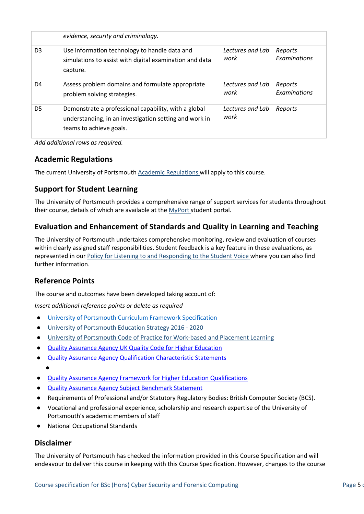|                | evidence, security and criminology.                                                                                                       |                          |                         |
|----------------|-------------------------------------------------------------------------------------------------------------------------------------------|--------------------------|-------------------------|
| D <sub>3</sub> | Use information technology to handle data and<br>simulations to assist with digital examination and data<br>capture.                      | Lectures and Lab<br>work | Reports<br>Examinations |
| D <sub>4</sub> | Assess problem domains and formulate appropriate<br>problem solving strategies.                                                           | Lectures and Lab<br>work | Reports<br>Examinations |
| D <sub>5</sub> | Demonstrate a professional capability, with a global<br>understanding, in an investigation setting and work in<br>teams to achieve goals. | Lectures and Lab<br>work | Reports                 |

*Add additional rows as required.*

#### **Academic Regulations**

The current University of Portsmouth [Academic Regulations](http://www.port.ac.uk/departments/services/academicregistry/qmd/assessmentandregulations/) will apply to this course.

## **Support for Student Learning**

The University of Portsmouth provides a comprehensive range of support services for students throughout their course, details of which are available at the [MyPort](http://myport.ac.uk/) student portal.

## **Evaluation and Enhancement of Standards and Quality in Learning and Teaching**

The University of Portsmouth undertakes comprehensive monitoring, review and evaluation of courses within clearly assigned staff responsibilities. Student feedback is a key feature in these evaluations, as represented in our [Policy for Listening to and Responding to the Student Voice](http://policies.docstore.port.ac.uk/policy-069.pdf) where you can also find further information.

## **Reference Points**

The course and outcomes have been developed taking account of:

*Insert additional reference points or delete as required*

- [University of Portsmouth Curriculum Framework Specification](http://www.port.ac.uk/departments/services/academicregistry/qmd/curriculum-framework-2019-20/filetodownload,201776,en.pdf)
- [University of Portsmouth Education Strategy 2016 -](http://policies.docstore.port.ac.uk/policy-187.pdf) 2020
- [University of Portsmouth Code of Practice for Work-based and Placement Learning](http://policies.docstore.port.ac.uk/policy-151.pdf)
- [Quality Assurance Agency UK Quality Code for Higher Education](https://www.qaa.ac.uk/quality-code)
- [Quality Assurance Agency Qualification Characteristic Statements](https://www.qaa.ac.uk/docs/qaas/focus-on/joint-degree-characteristics-15.pdf?sfvrsn=1b3ff481_8) ●
- [Quality Assurance Agency Framework for Higher Education Qualifications](https://www.qaa.ac.uk/docs/qaa/quality-code/qualifications-frameworks.pdf)
- [Quality Assurance Agency Subject Benchmark Statement](https://www.qaa.ac.uk/docs/qaa/subject-benchmark-statements/subject-benchmark-statement-computing.pdf?sfvrsn=ef2c881_10)
- Requirements of Professional and/or Statutory Regulatory Bodies: British Computer Society (BCS).
- Vocational and professional experience, scholarship and research expertise of the University of Portsmouth's academic members of staff
- **National Occupational Standards**

#### **Disclaimer**

The University of Portsmouth has checked the information provided in this Course Specification and will endeavour to deliver this course in keeping with this Course Specification. However, changes to the course